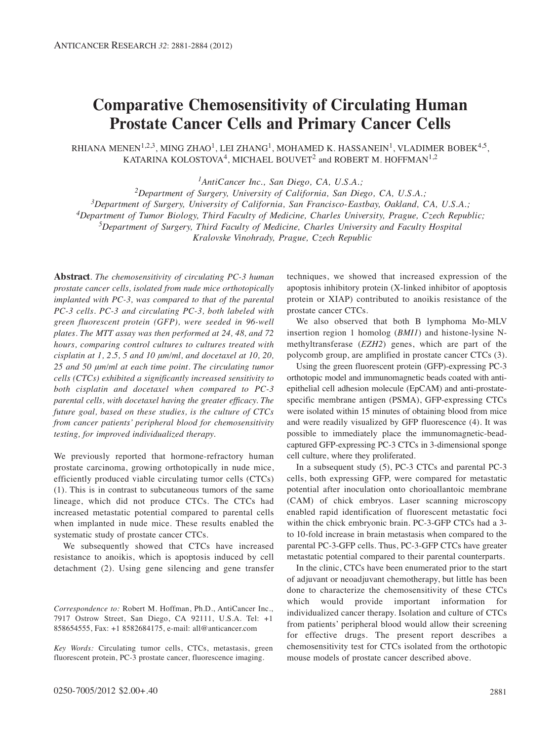# **Comparative Chemosensitivity of Circulating Human Prostate Cancer Cells and Primary Cancer Cells**

RHIANA MENEN<sup>1,2,3</sup>, MING ZHAO<sup>1</sup>, LEI ZHANG<sup>1</sup>, MOHAMED K. HASSANEIN<sup>1</sup>, VLADIMER BOBEK<sup>4,5</sup>, KATARINA KOLOSTOVA<sup>4</sup>, MICHAEL BOUVET<sup>2</sup> and ROBERT M. HOFFMAN<sup>1,2</sup>

*1AntiCancer Inc., San Diego, CA, U.S.A.;*

*2Department of Surgery, University of California, San Diego, CA, U.S.A.; 3Department of Surgery, University of California, San Francisco-Eastbay, Oakland, CA, U.S.A.; 4Department of Tumor Biology, Third Faculty of Medicine, Charles University, Prague, Czech Republic; 5Department of Surgery, Third Faculty of Medicine, Charles University and Faculty Hospital* 

*Kralovske Vinohrady, Prague, Czech Republic*

**Abstract***. The chemosensitivity of circulating PC-3 human prostate cancer cells, isolated from nude mice orthotopically implanted with PC-3, was compared to that of the parental PC-3 cells. PC-3 and circulating PC-3, both labeled with green fluorescent protein (GFP), were seeded in 96-well plates. The MTT assay was then performed at 24, 48, and 72 hours, comparing control cultures to cultures treated with cisplatin at 1, 2.5, 5 and 10 μm/ml, and docetaxel at 10, 20, 25 and 50 μm/ml at each time point. The circulating tumor cells (CTCs) exhibited a significantly increased sensitivity to both cisplatin and docetaxel when compared to PC-3 parental cells, with docetaxel having the greater efficacy. The future goal, based on these studies, is the culture of CTCs from cancer patients' peripheral blood for chemosensitivity testing, for improved individualized therapy.* 

We previously reported that hormone-refractory human prostate carcinoma, growing orthotopically in nude mice, efficiently produced viable circulating tumor cells (CTCs) (1). This is in contrast to subcutaneous tumors of the same lineage, which did not produce CTCs. The CTCs had increased metastatic potential compared to parental cells when implanted in nude mice. These results enabled the systematic study of prostate cancer CTCs.

We subsequently showed that CTCs have increased resistance to anoikis, which is apoptosis induced by cell detachment (2). Using gene silencing and gene transfer

*Correspondence to:* Robert M. Hoffman, Ph.D., AntiCancer Inc., 7917 Ostrow Street, San Diego, CA 92111, U.S.A. Tel: +1 858654555, Fax: +1 8582684175, e-mail: all@anticancer.com

*Key Words:* Circulating tumor cells, CTCs, metastasis, green fluorescent protein, PC-3 prostate cancer, fluorescence imaging.

techniques, we showed that increased expression of the apoptosis inhibitory protein (X-linked inhibitor of apoptosis protein or XIAP) contributed to anoikis resistance of the prostate cancer CTCs.

We also observed that both B lymphoma Mo-MLV insertion region 1 homolog (*BMI1*) and histone-lysine Nmethyltransferase (*EZH2*) genes, which are part of the polycomb group, are amplified in prostate cancer CTCs (3).

Using the green fluorescent protein (GFP)-expressing PC-3 orthotopic model and immunomagnetic beads coated with antiepithelial cell adhesion molecule (EpCAM) and anti-prostatespecific membrane antigen (PSMA), GFP-expressing CTCs were isolated within 15 minutes of obtaining blood from mice and were readily visualized by GFP fluorescence (4). It was possible to immediately place the immunomagnetic-beadcaptured GFP-expressing PC-3 CTCs in 3-dimensional sponge cell culture, where they proliferated.

In a subsequent study (5), PC-3 CTCs and parental PC-3 cells, both expressing GFP, were compared for metastatic potential after inoculation onto chorioallantoic membrane (CAM) of chick embryos. Laser scanning microscopy enabled rapid identification of fluorescent metastatic foci within the chick embryonic brain. PC-3-GFP CTCs had a 3 to 10-fold increase in brain metastasis when compared to the parental PC-3-GFP cells. Thus, PC-3-GFP CTCs have greater metastatic potential compared to their parental counterparts.

In the clinic, CTCs have been enumerated prior to the start of adjuvant or neoadjuvant chemotherapy, but little has been done to characterize the chemosensitivity of these CTCs which would provide important information for individualized cancer therapy. Isolation and culture of CTCs from patients' peripheral blood would allow their screening for effective drugs. The present report describes a chemosensitivity test for CTCs isolated from the orthotopic mouse models of prostate cancer described above.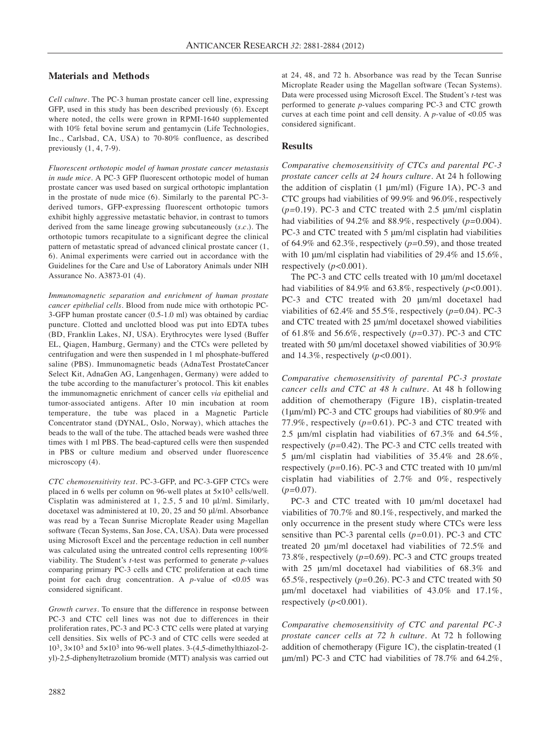#### **Materials and Methods**

*Cell culture.* The PC-3 human prostate cancer cell line, expressing GFP, used in this study has been described previously (6). Except where noted, the cells were grown in RPMI-1640 supplemented with 10% fetal bovine serum and gentamycin (Life Technologies, Inc., Carlsbad, CA, USA) to 70-80% confluence, as described previously  $(1, 4, 7-9)$ .

*Fluorescent orthotopic model of human prostate cancer metastasis in nude mice.* A PC-3 GFP fluorescent orthotopic model of human prostate cancer was used based on surgical orthotopic implantation in the prostate of nude mice (6). Similarly to the parental PC-3 derived tumors, GFP-expressing fluorescent orthotopic tumors exhibit highly aggressive metastatic behavior, in contrast to tumors derived from the same lineage growing subcutaneously (*s.c.*). The orthotopic tumors recapitulate to a significant degree the clinical pattern of metastatic spread of advanced clinical prostate cancer (1, 6). Animal experiments were carried out in accordance with the Guidelines for the Care and Use of Laboratory Animals under NIH Assurance No. A3873-01 (4).

*Immunomagnetic separation and enrichment of human prostate cancer epithelial cells.* Blood from nude mice with orthotopic PC-3-GFP human prostate cancer (0.5-1.0 ml) was obtained by cardiac puncture. Clotted and unclotted blood was put into EDTA tubes (BD, Franklin Lakes, NJ, USA). Erythrocytes were lysed (Buffer EL, Qiagen, Hamburg, Germany) and the CTCs were pelleted by centrifugation and were then suspended in 1 ml phosphate-buffered saline (PBS). Immunomagnetic beads (AdnaTest ProstateCancer Select Kit, AdnaGen AG, Langenhagen, Germany) were added to the tube according to the manufacturer's protocol. This kit enables the immunomagnetic enrichment of cancer cells *via* epithelial and tumor-associated antigens. After 10 min incubation at room temperature, the tube was placed in a Magnetic Particle Concentrator stand (DYNAL, Oslo, Norway), which attaches the beads to the wall of the tube. The attached beads were washed three times with 1 ml PBS. The bead-captured cells were then suspended in PBS or culture medium and observed under fluorescence microscopy (4).

*CTC chemosensitivity test.* PC-3-GFP, and PC-3-GFP CTCs were placed in 6 wells per column on 96-well plates at 5×103 cells/well. Cisplatin was administered at 1, 2.5, 5 and 10 μl/ml. Similarly, docetaxel was administered at 10, 20, 25 and 50 μl/ml. Absorbance was read by a Tecan Sunrise Microplate Reader using Magellan software (Tecan Systems, San Jose, CA, USA). Data were processed using Microsoft Excel and the percentage reduction in cell number was calculated using the untreated control cells representing 100% viability. The Student's *t*-test was performed to generate *p*-values comparing primary PC-3 cells and CTC proliferation at each time point for each drug concentration. A *p*-value of <0.05 was considered significant.

*Growth curves.* To ensure that the difference in response between PC-3 and CTC cell lines was not due to differences in their proliferation rates, PC-3 and PC-3 CTC cells were plated at varying cell densities. Six wells of PC-3 and of CTC cells were seeded at  $10^3$ ,  $3 \times 10^3$  and  $5 \times 10^3$  into 96-well plates. 3-(4,5-dimethylthiazol-2yl)-2,5-diphenyltetrazolium bromide (MTT) analysis was carried out at 24, 48, and 72 h. Absorbance was read by the Tecan Sunrise Microplate Reader using the Magellan software (Tecan Systems). Data were processed using Microsoft Excel. The Student's *t-*test was performed to generate *p*-values comparing PC-3 and CTC growth curves at each time point and cell density. A *p*-value of <0.05 was considered significant.

## **Results**

*Comparative chemosensitivity of CTCs and parental PC-3 prostate cancer cells at 24 hours culture.* At 24 h following the addition of cisplatin  $(1 \mu m/ml)$  (Figure 1A), PC-3 and CTC groups had viabilities of 99.9% and 96.0%, respectively (*p=*0.19). PC-3 and CTC treated with 2.5 μm/ml cisplatin had viabilities of 94.2% and 88.9%, respectively (*p=*0.004). PC-3 and CTC treated with 5 μm/ml cisplatin had viabilities of 64.9% and 62.3%, respectively (*p=*0.59), and those treated with 10 μm/ml cisplatin had viabilities of 29.4% and 15.6%, respectively (*p<*0.001).

The PC-3 and CTC cells treated with 10 μm/ml docetaxel had viabilities of 84.9% and 63.8%, respectively (*p<*0.001). PC-3 and CTC treated with 20 μm/ml docetaxel had viabilities of 62.4% and 55.5%, respectively (*p=*0.04). PC-3 and CTC treated with 25 μm/ml docetaxel showed viabilities of 61.8% and 56.6%, respectively (*p=*0.37). PC-3 and CTC treated with 50 μm/ml docetaxel showed viabilities of 30.9% and 14.3%, respectively (*p<*0.001).

*Comparative chemosensitivity of parental PC-3 prostate cancer cells and CTC at 48 h culture.* At 48 h following addition of chemotherapy (Figure 1B), cisplatin-treated (1μm/ml) PC-3 and CTC groups had viabilities of 80.9% and 77.9%, respectively (*p=*0.61). PC-3 and CTC treated with 2.5 μm/ml cisplatin had viabilities of 67.3% and 64.5%, respectively (*p=*0.42). The PC-3 and CTC cells treated with 5 μm/ml cisplatin had viabilities of 35.4% and 28.6%, respectively (*p=*0.16). PC-3 and CTC treated with 10 μm/ml cisplatin had viabilities of 2.7% and 0%, respectively (*p=*0.07).

PC-3 and CTC treated with 10 μm/ml docetaxel had viabilities of 70.7% and 80.1%, respectively, and marked the only occurrence in the present study where CTCs were less sensitive than PC-3 parental cells (*p=*0.01). PC-3 and CTC treated 20 μm/ml docetaxel had viabilities of 72.5% and 73.8%, respectively (*p=*0.69). PC-3 and CTC groups treated with 25 μm/ml docetaxel had viabilities of 68.3% and 65.5%, respectively (*p=*0.26). PC-3 and CTC treated with 50 μm/ml docetaxel had viabilities of 43.0% and 17.1%, respectively (*p<*0.001).

*Comparative chemosensitivity of CTC and parental PC-3 prostate cancer cells at 72 h culture.* At 72 h following addition of chemotherapy (Figure 1C), the cisplatin-treated (1 μm/ml) PC-3 and CTC had viabilities of 78.7% and 64.2%,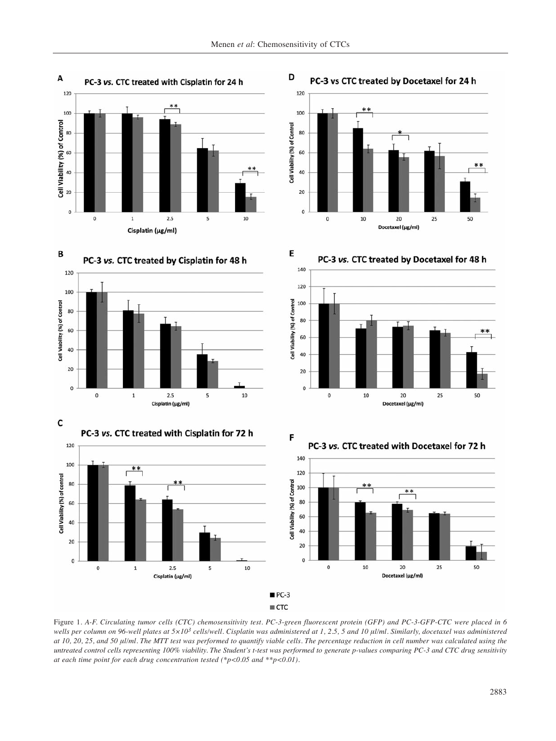D

E







PC-3 vs CTC treated by Docetaxel for 24 h



PC-3 vs. CTC treated by Docetaxel for 48 h







Figure 1. *A-F. Circulating tumor cells (CTC) chemosensitivity test. PC-3-green fluorescent protein (GFP) and PC-3-GFP-CTC were placed in 6 wells per column on 96-well plates at 5×103 cells/well. Cisplatin was administered at 1, 2.5, 5 and 10 μl/ml. Similarly, docetaxel was administered at 10, 20, 25, and 50 μl/ml. The MTT test was performed to quantify viable cells. The percentage reduction in cell number was calculated using the untreated control cells representing 100% viability. The Student's t-test was performed to generate p-values comparing PC-3 and CTC drug sensitivity at each time point for each drug concentration tested (\*p<0.05 and \*\*p<0.01).*